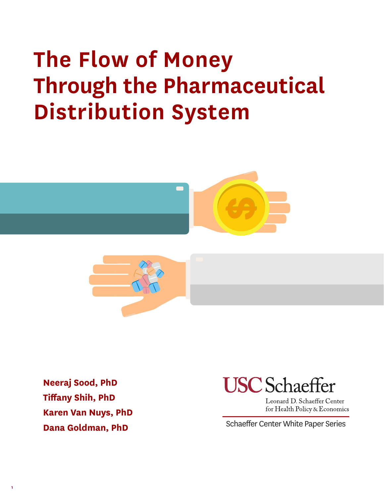# **The Flow of Money Through the Pharmaceutical Distribution System**





**Neeraj Sood, PhD Tiffany Shih, PhD Karen Van Nuys, PhD Dana Goldman, PhD**



Leonard D. Schaeffer Center for Health Policy & Economics

**1 PB**

Schaeffer Center White Paper Series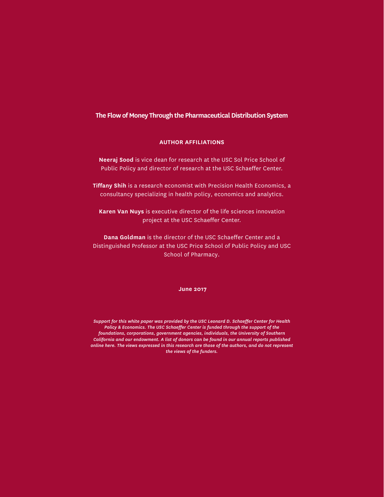#### **The Flow of Money Through the Pharmaceutical Distribution System**

#### **AUTHOR AFFILIATIONS**

**Neeraj Sood** is vice dean for research at the USC Sol Price School of Public Policy and director of research at the USC Schaeffer Center.

**Tiffany Shih** is a research economist with Precision Health Economics, a consultancy specializing in health policy, economics and analytics.

**Karen Van Nuys** is executive director of the life sciences innovation project at the USC Schaeffer Center.

**Dana Goldman** is the director of the USC Schaeffer Center and a Distinguished Professor at the USC Price School of Public Policy and USC School of Pharmacy.

#### **June 2017**

*Support for this white paper was provided by the USC Leonard D. Schaeffer Center for Health Policy & Economics. The USC Schaeffer Center is funded through the support of the foundations, corporations, government agencies, individuals, the University of Southern California and our endowment. A list of donors can be found in our annual reports published online here. The views expressed in this research are those of the authors, and do not represent the views of the funders.*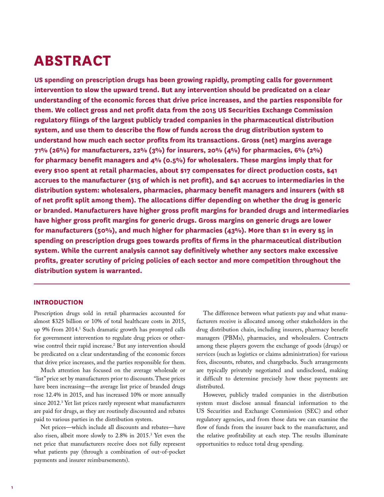### **ABSTRACT**

**US spending on prescription drugs has been growing rapidly, prompting calls for government intervention to slow the upward trend. But any intervention should be predicated on a clear understanding of the economic forces that drive price increases, and the parties responsible for them. We collect gross and net profit data from the 2015 US Securities Exchange Commission regulatory filings of the largest publicly traded companies in the pharmaceutical distribution system, and use them to describe the flow of funds across the drug distribution system to understand how much each sector profits from its transactions. Gross (net) margins average 71% (26%) for manufacturers, 22% (3%) for insurers, 20% (4%) for pharmacies, 6% (2%) for pharmacy benefit managers and 4% (0.5%) for wholesalers. These margins imply that for every \$100 spent at retail pharmacies, about \$17 compensates for direct production costs, \$41 accrues to the manufacturer (\$15 of which is net profit), and \$41 accrues to intermediaries in the distribution system: wholesalers, pharmacies, pharmacy benefit managers and insurers (with \$8 of net profit split among them). The allocations differ depending on whether the drug is generic or branded. Manufacturers have higher gross profit margins for branded drugs and intermediaries have higher gross profit margins for generic drugs. Gross margins on generic drugs are lower for manufacturers (50%), and much higher for pharmacies (43%). More than \$1 in every \$5 in spending on prescription drugs goes towards profits of firms in the pharmaceutical distribution system. While the current analysis cannot say definitively whether any sectors make excessive profits, greater scrutiny of pricing policies of each sector and more competition throughout the distribution system is warranted.**

#### **INTRODUCTION**

Prescription drugs sold in retail pharmacies accounted for almost \$325 billion or 10% of total healthcare costs in 2015, up 9% from 2014.1 Such dramatic growth has prompted calls for government intervention to regulate drug prices or otherwise control their rapid increase.2 But any intervention should be predicated on a clear understanding of the economic forces that drive price increases, and the parties responsible for them.

Much attention has focused on the average wholesale or "list" price set by manufacturers prior to discounts. These prices have been increasing—the average list price of branded drugs rose 12.4% in 2015, and has increased 10% or more annually since 2012.3 Yet list prices rarely represent what manufacturers are paid for drugs, as they are routinely discounted and rebates paid to various parties in the distribution system.

Net prices—which include all discounts and rebates—have also risen, albeit more slowly to 2.8% in 2015.3 Yet even the net price that manufacturers receive does not fully represent what patients pay (through a combination of out-of-pocket payments and insurer reimbursements).

The difference between what patients pay and what manufacturers receive is allocated among other stakeholders in the drug distribution chain, including insurers, pharmacy benefit managers (PBMs), pharmacies, and wholesalers. Contracts among these players govern the exchange of goods (drugs) or services (such as logistics or claims administration) for various fees, discounts, rebates, and chargebacks. Such arrangements are typically privately negotiated and undisclosed, making it difficult to determine precisely how these payments are distributed.

However, publicly traded companies in the distribution system must disclose annual financial information to the US Securities and Exchange Commission (SEC) and other regulatory agencies, and from those data we can examine the flow of funds from the insurer back to the manufacturer, and the relative profitability at each step. The results illuminate opportunities to reduce total drug spending.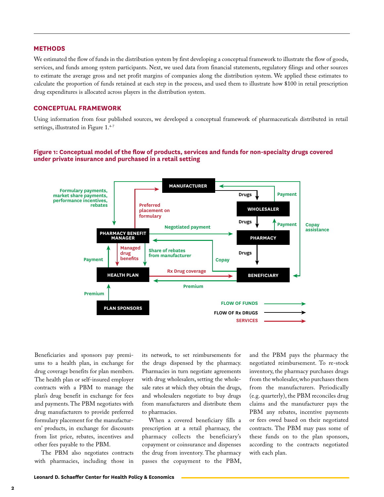#### **METHODS**

We estimated the flow of funds in the distribution system by first developing a conceptual framework to illustrate the flow of goods, services, and funds among system participants. Next, we used data from financial statements, regulatory filings and other sources to estimate the average gross and net profit margins of companies along the distribution system. We applied these estimates to calculate the proportion of funds retained at each step in the process, and used them to illustrate how \$100 in retail prescription drug expenditures is allocated across players in the distribution system.

#### **CONCEPTUAL FRAMEWORK**

Using information from four published sources, we developed a conceptual framework of pharmaceuticals distributed in retail settings, illustrated in Figure 1.<sup>4-7</sup>

#### **Figure 1: Conceptual model of the flow of products, services and funds for non-specialty drugs covered under private insurance and purchased in a retail setting**



Beneficiaries and sponsors pay premiums to a health plan, in exchange for drug coverage benefits for plan members. The health plan or self-insured employer contracts with a PBM to manage the plan's drug benefit in exchange for fees and payments. The PBM negotiates with drug manufacturers to provide preferred formulary placement for the manufacturers' products, in exchange for discounts from list price, rebates, incentives and other fees payable to the PBM.

The PBM also negotiates contracts with pharmacies, including those in its network, to set reimbursements for the drugs dispensed by the pharmacy. Pharmacies in turn negotiate agreements with drug wholesalers, setting the wholesale rates at which they obtain the drugs, and wholesalers negotiate to buy drugs from manufacturers and distribute them to pharmacies.

When a covered beneficiary fills a prescription at a retail pharmacy, the pharmacy collects the beneficiary's copayment or coinsurance and dispenses the drug from inventory. The pharmacy passes the copayment to the PBM, and the PBM pays the pharmacy the negotiated reimbursement. To re-stock inventory, the pharmacy purchases drugs from the wholesaler, who purchases them from the manufacturers. Periodically (e.g. quarterly), the PBM reconciles drug claims and the manufacturer pays the PBM any rebates, incentive payments or fees owed based on their negotiated contracts. The PBM may pass some of these funds on to the plan sponsors, according to the contracts negotiated with each plan.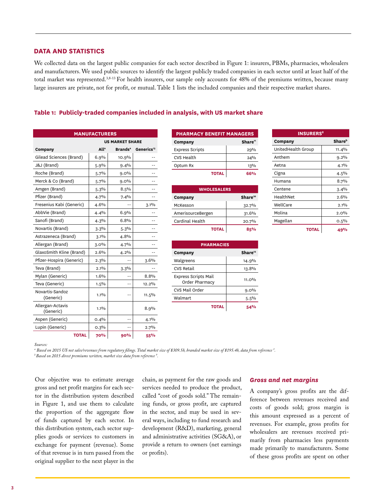#### **3 PB**

#### **DATA AND STATISTICS**

We collected data on the largest public companies for each sector described in Figure 1: insurers, PBMs, pharmacies, wholesalers and manufacturers. We used public sources to identify the largest publicly traded companies in each sector until at least half of the total market was represented.<sup>3,8-13</sup> For health insurers, our sample only accounts for 48% of the premiums written, because many large insurers are private, not for profit, or mutual. Table 1 lists the included companies and their respective market shares.

#### **Table 1: Publicly-traded companies included in analysis, with US market share**

| <b>MANUFACTURERS</b>          |                        |                            |                        |  |  |
|-------------------------------|------------------------|----------------------------|------------------------|--|--|
|                               | <b>US MARKET SHARE</b> |                            |                        |  |  |
| Company                       | Alla                   | <b>Brands</b> <sup>a</sup> | Generics <sup>13</sup> |  |  |
| Gilead Sciences (Brand)       | 6.9%                   | 10.9%                      |                        |  |  |
| J&J (Brand)                   | 5.9%                   | 9.4%                       |                        |  |  |
| Roche (Brand)                 | 5.7%                   | $9.0\%$                    |                        |  |  |
| Merck & Co (Brand)            | 5.7%                   | 9.0%                       |                        |  |  |
| Amgen (Brand)                 | 5.3%                   | 8.5%                       |                        |  |  |
| Pfizer (Brand)                | 4.7%                   | 7.4%                       |                        |  |  |
| Fresenius Kabi (Generic)      | 4.6%                   |                            | 3.1%                   |  |  |
| AbbVie (Brand)                | 4.4%                   | 6.9%                       |                        |  |  |
| Sanofi (Brand)                | 4.3%                   | 6.8%                       |                        |  |  |
| Novartis (Brand)              | 3.3%                   | 5.3%                       |                        |  |  |
| Astrazeneca (Brand)           | 3.1%                   | 4.8%                       |                        |  |  |
| Allergan (Brand)              | 3.0%                   | 4.7%                       |                        |  |  |
| GlaxoSmith Kline (Brand)      | 2.6%                   | 4.2%                       |                        |  |  |
| Pfizer-Hospira (Generic)      | 2.3%                   |                            | 3.6%                   |  |  |
| Teva (Brand)                  | 2.1%                   | 3.3%                       |                        |  |  |
| Mylan (Generic)               | 1.6%                   |                            | 8.8%                   |  |  |
| Teva (Generic)                | 1.5%                   | $-$                        | 12.2%                  |  |  |
| Novartis-Sandoz<br>(Generic)  | $1.1\%$                | --                         | $11.5\%$               |  |  |
| Allergan-Actavis<br>(Generic) | 1.1%                   |                            | 8.9%                   |  |  |
| Aspen (Generic)               | 0.4%                   | --                         | 4.1%                   |  |  |
| Lupin (Generic)               | 0.3%                   | --                         | 2.7%                   |  |  |
| <b>TOTAL</b>                  | <b>70%</b>             | 90%                        | 55%                    |  |  |

| <b>PHARMACY BENEFIT MANAGERS</b> |                     |  |  |  |
|----------------------------------|---------------------|--|--|--|
| Company                          | Share <sup>11</sup> |  |  |  |
| <b>Express Scripts</b>           | 29%                 |  |  |  |
| <b>CVS Health</b>                | 24%                 |  |  |  |
| Optum Rx                         | 13%                 |  |  |  |
| <b>TOTAL</b>                     | 66%                 |  |  |  |

| <b>WHOLESALERS</b> |                     |  |  |  |
|--------------------|---------------------|--|--|--|
| Company            | Share <sup>10</sup> |  |  |  |
| McKesson           | 32.7%               |  |  |  |
| AmerisourceBergen  | 31.6%               |  |  |  |
| Cardinal Health    | 20.7%               |  |  |  |
| <b>TOTAL</b>       |                     |  |  |  |

**PHARMACIES Company Share12** Walgreens 14.9%  $CVS$  Retail  $13.8\%$ 

Order Pharmacy 211.0% CVS Mail Order and g.o% Walmart 5.5%

**TOTAL 54%**

Express Scripts Mail

| Aetna     |              | $4.1\%$ |
|-----------|--------------|---------|
| Cigna     |              | 4.5%    |
| Humana    |              | 8.7%    |
| Centene   |              | 3.4%    |
| HealthNet |              | 2.6%    |
| WellCare  |              | $2.1\%$ |
| Molina    |              | $2.0\%$ |
| Magellan  |              | 0.5%    |
|           | <b>TOTAL</b> | 49%     |
|           |              |         |

**INSURERS8 Company Shareb** UnitedHealth Group | 11.4% Anthem 9.2%

*Sources:*

*a Based on 2015 US net sales/revenues from regulatory filings. Total market size of \$309.5b, branded market size of \$195.4b, data from reference 3 . b Based on 2015 direct premiums written, market size data from reference 9 .*

Our objective was to estimate average gross and net profit margins for each sector in the distribution system described in Figure 1, and use them to calculate the proportion of the aggregate flow of funds captured by each sector. In this distribution system, each sector supplies goods or services to customers in exchange for payment (revenue). Some of that revenue is in turn passed from the original supplier to the next player in the

chain, as payment for the raw goods and services needed to produce the product, called "cost of goods sold." The remaining funds, or gross profit, are captured in the sector, and may be used in several ways, including to fund research and development (R&D), marketing, general and administrative activities (SG&A), or provide a return to owners (net earnings or profits).

#### *Gross and net margins*

A company's gross profits are the difference between revenues received and costs of goods sold; gross margin is this amount expressed as a percent of revenues. For example, gross profits for wholesalers are revenues received primarily from pharmacies less payments made primarily to manufacturers. Some of these gross profits are spent on other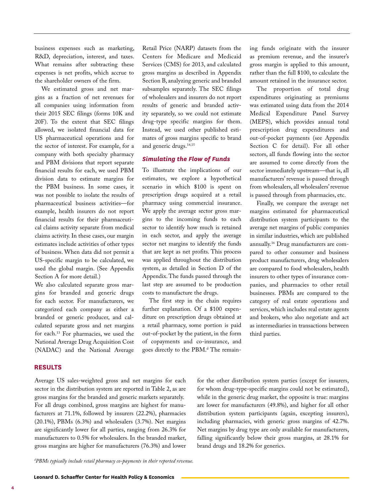business expenses such as marketing, R&D, depreciation, interest, and taxes. What remains after subtracting these expenses is net profits, which accrue to the shareholder owners of the firm.

We estimated gross and net margins as a fraction of net revenues for all companies using information from their 2015 SEC filings (forms 10K and 20F). To the extent that SEC filings allowed, we isolated financial data for US pharmaceutical operations and for the sector of interest. For example, for a company with both specialty pharmacy and PBM divisions that report separate financial results for each, we used PBM division data to estimate margins for the PBM business. In some cases, it was not possible to isolate the results of pharmaceutical business activities—for example, health insurers do not report financial results for their pharmaceutical claims activity separate from medical claims activity. In these cases, our margin estimates include activities of other types of business. When data did not permit a US-specific margin to be calculated, we used the global margin. (See Appendix Section A for more detail.)

We also calculated separate gross margins for branded and generic drugs for each sector. For manufacturers, we categorized each company as either a branded or generic producer, and calculated separate gross and net margins for each.13 For pharmacies, we used the National Average Drug Acquisition Cost (NADAC) and the National Average Retail Price (NARP) datasets from the Centers for Medicare and Medicaid Services (CMS) for 2013, and calculated gross margins as described in Appendix Section B, analyzing generic and branded subsamples separately. The SEC filings of wholesalers and insurers do not report results of generic and branded activity separately, so we could not estimate drug-type specific margins for them. Instead, we used other published estimates of gross margins specific to brand and generic drugs.<sup>14,15</sup>

#### *Simulating the Flow of Funds*

To illustrate the implications of our estimates, we explore a hypothetical scenario in which \$100 is spent on prescription drugs acquired at a retail pharmacy using commercial insurance. We apply the average sector gross margins to the incoming funds to each sector to identify how much is retained in each sector, and apply the average sector net margins to identify the funds that are kept as net profits. This process was applied throughout the distribution system, as detailed in Section D of the Appendix. The funds passed through the last step are assumed to be production costs to manufacture the drugs.

The first step in the chain requires further explanation. Of a \$100 expenditure on prescription drugs obtained at a retail pharmacy, some portion is paid out-of-pocket by the patient, in the form of copayments and co-insurance, and goes directly to the PBM.<sup>d</sup> The remaining funds originate with the insurer as premium revenue, and the insurer's gross margin is applied to this amount, rather than the full \$100, to calculate the amount retained in the insurance sector.

The proportion of total drug expenditures originating as premiums was estimated using data from the 2014 Medical Expenditure Panel Survey (MEPS), which provides annual total prescription drug expenditures and out-of-pocket payments (see Appendix Section C for detail). For all other sectors, all funds flowing into the sector are assumed to come directly from the sector immediately upstream—that is, all manufacturers' revenue is passed through from wholesalers, all wholesalers' revenue is passed through from pharmacies, etc.

Finally, we compare the average net margins estimated for pharmaceutical distribution system participants to the average net margins of public companies in similar industries, which are published annually.16 Drug manufacturers are compared to other consumer and business product manufacturers, drug wholesalers are compared to food wholesalers, health insurers to other types of insurance companies, and pharmacies to other retail businesses. PBMs are compared to the category of real estate operations and services, which includes real estate agents and brokers, who also negotiate and act as intermediaries in transactions between third parties.

#### **RESULTS**

Average US sales-weighted gross and net margins for each sector in the distribution system are reported in Table 2, as are gross margins for the branded and generic markets separately. For all drugs combined, gross margins are highest for manufacturers at 71.1%, followed by insurers (22.2%), pharmacies (20.1%), PBMs (6.3%) and wholesalers (3.7%). Net margins are significantly lower for all parties, ranging from 26.3% for manufacturers to 0.5% for wholesalers. In the branded market, gross margins are higher for manufacturers (76.3%) and lower for the other distribution system parties (except for insurers, for whom drug-type-specific margins could not be estimated), while in the generic drug market, the opposite is true: margins are lower for manufacturers (49.8%), and higher for all other distribution system participants (again, excepting insurers), including pharmacies, with generic gross margins of 42.7%. Net margins by drug type are only available for manufacturers, falling significantly below their gross margins, at 28.1% for brand drugs and 18.2% for generics.

*d PBMs typically include retail pharmacy co-payments in their reported revenue.*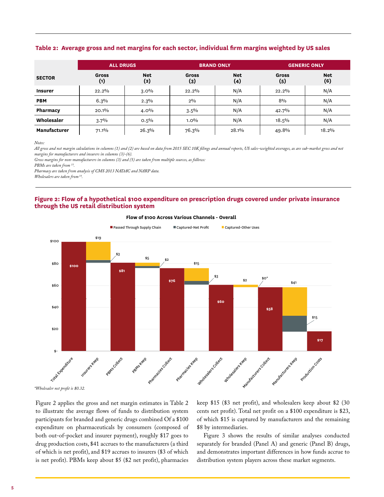#### **Table 2: Average gross and net margins for each sector, individual firm margins weighted by US sales**

|                     | <b>ALL DRUGS</b> |                   | <b>BRAND ONLY</b>   |                   | <b>GENERIC ONLY</b> |                   |
|---------------------|------------------|-------------------|---------------------|-------------------|---------------------|-------------------|
| <b>SECTOR</b>       | Gross<br>(1)     | <b>Net</b><br>(2) | <b>Gross</b><br>(3) | <b>Net</b><br>(4) | Gross<br>(5)        | <b>Net</b><br>(6) |
| <b>Insurer</b>      | 22.2%            | $3.0\%$           | 22.2%               | N/A               | 22.2%               | N/A               |
| <b>PBM</b>          | 6.3%             | 2.3%              | $2\%$               | N/A               | 8%                  | N/A               |
| Pharmacy            | 20.1%            | $4.0\%$           | $3.5\%$             | N/A               | 42.7%               | N/A               |
| Wholesaler          | 3.7%             | $0.5\%$           | $1.0\%$             | N/A               | 18.5%               | N/A               |
| <b>Manufacturer</b> | $71.1\%$         | 26.3%             | 76.3%               | 28.1%             | 49.8%               | 18.2%             |

*Notes:*

*All gross and net margin calculations in columns (1) and (2) are based on data from 2015 SEC 10K filings and annual reports, US sales-weighted averages, as are sub-market gross and net margins for manufacturers and insurers in columns (3)-(6).*

*Gross margins for non-manufacturers in columns (3) and (5) are taken from multiple sources, as follows:*

*PBMs are taken from 15.*

*Pharmacy are taken from analysis of CMS 2013 NADAC and NARP data.*

*Wholesalers are taken from 14.* 

#### **Figure 2: Flow of a hypothetical \$100 expenditure on prescription drugs covered under private insurance through the US retail distribution system**



**Flow of \$100 Across Various Channels - Overall**

*\*Wholesaler net profit is \$0.32.*

Figure 2 applies the gross and net margin estimates in Table 2 to illustrate the average flows of funds to distribution system participants for branded and generic drugs combined Of a \$100 expenditure on pharmaceuticals by consumers (composed of both out-of-pocket and insurer payment), roughly \$17 goes to drug production costs, \$41 accrues to the manufacturers (a third of which is net profit), and \$19 accrues to insurers (\$3 of which is net profit). PBMs keep about \$5 (\$2 net profit), pharmacies

keep \$15 (\$3 net profit), and wholesalers keep about \$2 (30 cents net profit). Total net profit on a \$100 expenditure is \$23, of which \$15 is captured by manufacturers and the remaining \$8 by intermediaries.

Figure 3 shows the results of similar analyses conducted separately for branded (Panel A) and generic (Panel B) drugs, and demonstrates important differences in how funds accrue to distribution system players across these market segments.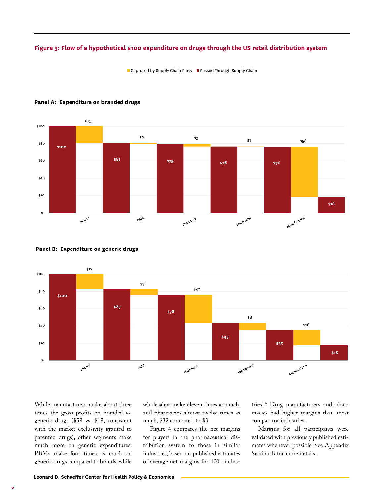#### **Figure 3: Flow of a hypothetical \$100 expenditure on drugs through the US retail distribution system**

■ Captured by Supply Chain Party ■ Passed Through Supply Chain



#### Panel A: Expenditure on branded drugs



#### Panel B: Expenditure on generic drugs

While manufacturers make about three times the gross profits on branded vs. generic drugs (\$58 vs. \$18, consistent with the market exclusivity granted to patented drugs), other segments make much more on generic expenditures: PBMs make four times as much on generic drugs compared to brands, while

wholesalers make eleven times as much, and pharmacies almost twelve times as much, \$32 compared to \$3.

Figure 4 compares the net margins for players in the pharmaceutical distribution system to those in similar industries, based on published estimates of average net margins for 100+ indus-

tries.16 Drug manufacturers and pharmacies had higher margins than most comparator industries.

Margins for all participants were validated with previously published estimates whenever possible. See Appendix Section B for more details.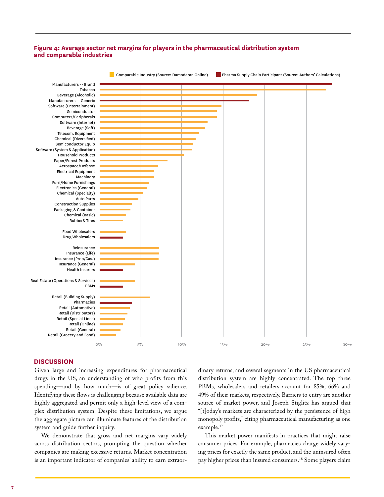#### **Figure 4: Average sector net margins for players in the pharmaceutical distribution system and comparable industries**



#### **DISCUSSION**

Given large and increasing expenditures for pharmaceutical drugs in the US, an understanding of who profits from this spending—and by how much—is of great policy salience. Identifying these flows is challenging because available data are highly aggregated and permit only a high-level view of a complex distribution system. Despite these limitations, we argue the aggregate picture can illuminate features of the distribution system and guide further inquiry.

We demonstrate that gross and net margins vary widely across distribution sectors, prompting the question whether companies are making excessive returns. Market concentration is an important indicator of companies' ability to earn extraordinary returns, and several segments in the US pharmaceutical distribution system are highly concentrated. The top three PBMs, wholesalers and retailers account for 85%, 66% and 49% of their markets, respectively. Barriers to entry are another source of market power, and Joseph Stiglitz has argued that "[t]oday's markets are characterized by the persistence of high monopoly profits," citing pharmaceutical manufacturing as one example.17

This market power manifests in practices that might raise consumer prices. For example, pharmacies charge widely varying prices for exactly the same product, and the uninsured often pay higher prices than insured consumers.<sup>18</sup> Some players claim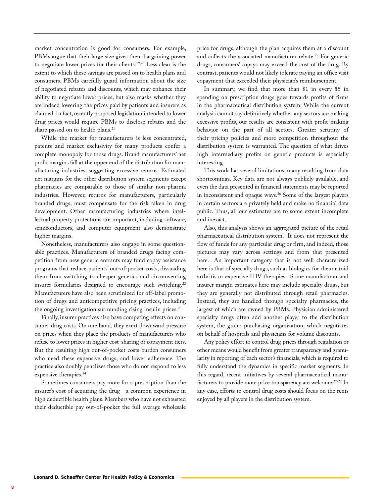market concentration is good for consumers. For example, PBMs argue that their large size gives them bargaining power to negotiate lower prices for their clients.19,20 Less clear is the extent to which these savings are passed on to health plans and consumers. PBMs carefully guard information about the size of negotiated rebates and discounts, which may enhance their ability to negotiate lower prices, but also masks whether they are indeed lowering the prices paid by patients and insurers as claimed. In fact, recently proposed legislation intended to lower drug prices would require PBMs to disclose rebates and the share passed on to health plans.<sup>21</sup>

While the market for manufacturers is less concentrated, patents and market exclusivity for many products confer a complete monopoly for those drugs. Brand manufacturers' net profit margins fall at the upper end of the distribution for manufacturing industries, suggesting excessive returns. Estimated net margins for the other distribution system segments except pharmacies are comparable to those of similar non-pharma industries. However, returns for manufacturers, particularly branded drugs, must compensate for the risk taken in drug development. Other manufacturing industries where intellectual property protections are important, including software, semiconductors, and computer equipment also demonstrate higher margins.

Nonetheless, manufacturers also engage in some questionable practices. Manufacturers of branded drugs facing competition from new generic entrants may fund copay assistance programs that reduce patients' out-of-pocket costs, dissuading them from switching to cheaper generics and circumventing insurer formularies designed to encourage such switching.<sup>22</sup> Manufacturers have also been scrutinized for off-label promotion of drugs and anticompetitive pricing practices, including the ongoing investigation surrounding rising insulin prices. $2<sup>3</sup>$ 

Finally, insurer practices also have competing effects on consumer drug costs. On one hand, they exert downward pressure on prices when they place the products of manufacturers who refuse to lower prices in higher cost-sharing or copayment tiers. But the resulting high out-of-pocket costs burden consumers who need these expensive drugs, and lower adherence. The practice also doubly penalizes those who do not respond to less expensive therapies.24

Sometimes consumers pay more for a prescription than the insurer's cost of acquiring the drug—a common experience in high deductible health plans. Members who have not exhausted their deductible pay out-of-pocket the full average wholesale price for drugs, although the plan acquires them at a discount and collects the associated manufacturer rebate.<sup>25</sup> For generic drugs, consumers' copays may exceed the cost of the drug. By contrast, patients would not likely tolerate paying an office visit copayment that exceeded their physician's reimbursement.

In summary, we find that more than \$1 in every \$5 in spending on prescription drugs goes towards profits of firms in the pharmaceutical distribution system. While the current analysis cannot say definitively whether any sectors are making excessive profits, our results are consistent with profit-making behavior on the part of all sectors. Greater scrutiny of their pricing policies and more competition throughout the distribution system is warranted. The question of what drives high intermediary profits on generic products is especially interesting.

This work has several limitations, many resulting from data shortcomings. Key data are not always publicly available, and even the data presented in financial statements may be reported in inconsistent and opaque ways.26 Some of the largest players in certain sectors are privately held and make no financial data public. Thus, all our estimates are to some extent incomplete and inexact.

Also, this analysis shows an aggregated picture of the retail pharmaceutical distribution system. It does not represent the flow of funds for any particular drug or firm, and indeed, those pictures may vary across settings and from that presented here. An important category that is not well characterized here is that of specialty drugs, such as biologics for rheumatoid arthritis or expensive HIV therapies. Some manufacturer and insurer margin estimates here may include specialty drugs, but they are generally not distributed through retail pharmacies. Instead, they are handled through specialty pharmacies, the largest of which are owned by PBMs. Physician administered specialty drugs often add another player to the distribution system, the group purchasing organization, which negotiates on behalf of hospitals and physicians for volume discounts.

Any policy effort to control drug prices through regulation or other means would benefit from greater transparency and granularity in reporting of each sector's financials, which is required to fully understand the dynamics in specific market segments. In this regard, recent initiatives by several pharmaceutical manufacturers to provide more price transparency are welcome.27-29 In any case, efforts to control drug costs should focus on the rents enjoyed by all players in the distribution system.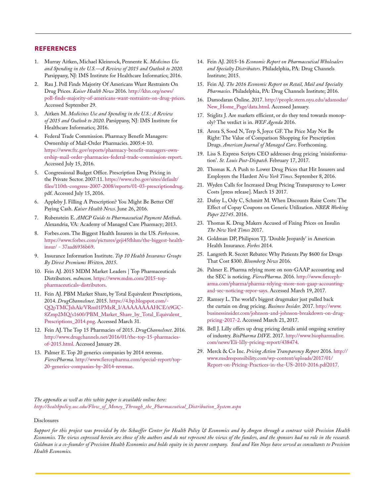#### **REFERENCES**

- 1. Murray Aitken, Michael Kleinrock, Pennente K. *Medicines Use and Spending in the U.S.—A Review of 2015 and Outlook to 2020.*  Parsippany, NJ: IMS Institute for Healthcare Informatics; 2016.
- 2. Rau J. Poll Finds Majority Of Americans Want Restraints On Drug Prices. *Kaiser Health News* 2016. http://khn.org/news/ poll-finds-majority-of-americans-want-restraints-on-drug-prices. Accessed September 29.
- 3. Aitken M. *Medicines Use and Spending in the U.S.: A Review of 2015 and Outlook to 2020*. Parsippany, NJ: IMS Institute for Healthcare Informatics; 2016.
- 4. Federal Trade Commission. Pharmacy Benefit Managers: Ownership of Mail-Order Pharmacies. 2005:4-10. https://www.ftc.gov/reports/pharmacy-benefit-managers-ownership-mail-order-pharmacies-federal-trade-commission-report. Accessed July 15, 2016.
- 5. Congressional Budget Office. Prescription Drug Pricing in the Private Sector. 2007:11. https://www.cbo.gov/sites/default/ files/110th-congress-2007-2008/reports/01-03-prescriptiondrug. pdf. Accessed July 15, 2016.
- 6. Appleby J. Filling A Prescription? You Might Be Better Off Paying Cash. *Kaiser Health News*. June 26, 2016.
- 7. Rubenstein E. *AMCP Guide to Pharmaceutical Payment Methods*. Alexandria, VA: Academy of Managed Care Pharmacy; 2013.
- 8. Forbes.com. The Biggest Health Insurers in the US. *Forbescom*. https://www.forbes.com/pictures/geji45fhhm/the-biggest-healthinsur/ - 37aad6936b69.
- 9. Insurance Information Institute. *Top 10 Health Insurance Groups By Direct Premiums Written, 2015*.
- 10. Fein AJ. 2015 MDM Market Leaders | Top Pharmaceuticals Distributors. *mdmcom*. https://www.mdm.com/2015-toppharmaceuticals-distributors.
- 11. Fein AJ. PBM Market Share, by Total Equivalent Prescriptions, 2014. *DrugChannelsnet*. 2015. https://4.bp.blogspot.com/- QQoTMCJshAk/VRm01PMxR\_I/AAAAAAAAHCE/x9GC-8Zmp2MQ/s1600/PBM\_Market\_Share\_by\_Total\_Equivalent\_ Prescriptions\_2014.png. Accessed March 31.
- 12. Fein AJ. The Top 15 Pharmacies of 2015. *DrugChannelsnet*. 2016. http://www.drugchannels.net/2016/01/the-top-15-pharmaciesof-2015.html. Accessed January 28.
- 13. Palmer E. Top 20 generics companies by 2014 revenue. *FiercePharma*. http://www.fiercepharma.com/special-report/top-20-generics-companies-by-2014-revenue.
- 14. Fein AJ. 2015-16 *Economic Report on Pharmaceutical Wholesalers and Specialty Distributors*. Philadelphia, PA: Drug Channels Institute; 2015.
- 15. Fein AJ. *The 2016 Economic Report on Retail, Mail and Specialty Pharmacies*. Philadelphia, PA: Drug Channels Institute; 2016.
- 16. Damodaran Online. 2017. http://people.stern.nyu.edu/adamodar/ New\_Home\_Page/data.html. Accessed January.
- 17. Stiglitz J. Are markets efficient, or do they tend towards monopoly? The verdict is in. *WEF Agenda* 2016.
- 18. Arora S, Sood N, Terp S, Joyce GF. The Price May Not Be Right: The Value of Comparison Shopping for Prescription Drugs. *American Journal of Managed Care*. Forthcoming.
- 19. Liss S. Express Scripts CEO addresses drug pricing 'misinformation'. *St. Louis Post-Dispatch*. February 17, 2017.
- 20. Thomas K. A Push to Lower Drug Prices that Hit Insurers and Employers the Hardest *New York Times*. September 8, 2016.
- 21. Wyden Calls for Increased Drug Pricing Transparency to Lower Costs [press release]. March 15 2017.
- 22. Dafny L, Ody C, Schmitt M. When Discounts Raise Costs: The Effect of Copay Coupons on Generic Utilization. *NBER Working Paper 22745*. 2016.
- 23. Thomas K. Drug Makers Accused of Fixing Prices on Insulin *The New York Times* 2017.
- 24. Goldman DP, Philipson TJ. 'Double Jeopardy' in American Health Insurance. *Forbes* 2014.
- 25. Langreth R. Secret Rebates: Why Patients Pay \$600 for Drugs That Cost \$300. *Bloomberg News* 2016.
- 26. Palmer E. Pharma relying more on non-GAAP accounting and the SEC is noticing. *FiercePharma*. 2016. http://www.fiercepharma.com/pharma/pharma-relying-more-non-gaap-accountingand-sec-noticing-repor-says. Accessed March 19, 2017.
- 27. Ramsey L. The world's biggest drugmaker just pulled back the curtain on drug pricing. *Business Insider.* 2017. http://www. businessinsider.com/johnson-and-johnson-breakdown-on-drugpricing-2017-2. Accessed March 21, 2017.
- 28. Bell J. Lilly offers up drug pricing details amid ongoing scrutiny of industry. *BioPharma DIVE*. 2017. http://www.biopharmadive. com/news/Eli-lilly-pricing-report/438474.
- 29. Merck & Co Inc. *Pricing Action Transparency Report* 2016. http:// www.msdresponsibility.com/wp-content/uploads/2017/01/ Report-on-Pricing-Practices-in-the-US-2010-2016.pdf2017.

*The appendix as well as this white paper is available online here: http://healthpolicy.usc.edu/Flow\_of\_Money\_Through\_the\_Pharmaceutical\_Distribution\_System.aspx*

#### Disclosures

*Support for this project was provided by the Schaeffer Center for Health Policy & Economics and by Amgen through a contract with Precision Health Economics. The views expressed herein are those of the authors and do not represent the views of the funders, and the sponsors had no role in the research. Goldman is a co-founder of Precision Health Economics and holds equity in its parent company. Sood and Van Nuys have served as consultants to Precision Health Economics.*